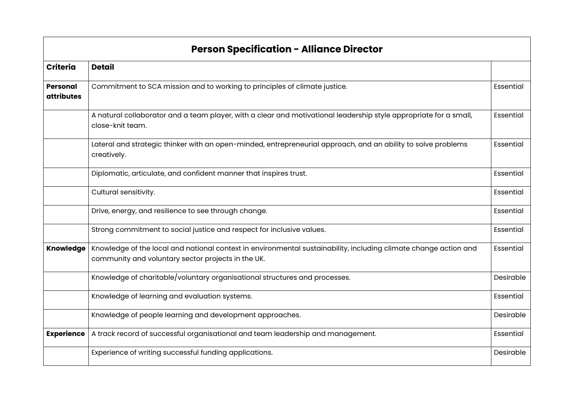| <b>Person Specification - Alliance Director</b> |                                                                                                                                                                        |           |  |
|-------------------------------------------------|------------------------------------------------------------------------------------------------------------------------------------------------------------------------|-----------|--|
| <b>Criteria</b>                                 | <b>Detail</b>                                                                                                                                                          |           |  |
| <b>Personal</b><br><b>attributes</b>            | Commitment to SCA mission and to working to principles of climate justice.                                                                                             | Essential |  |
|                                                 | A natural collaborator and a team player, with a clear and motivational leadership style appropriate for a small,<br>close-knit team.                                  | Essential |  |
|                                                 | Lateral and strategic thinker with an open-minded, entrepreneurial approach, and an ability to solve problems<br>creatively.                                           | Essential |  |
|                                                 | Diplomatic, articulate, and confident manner that inspires trust.                                                                                                      | Essential |  |
|                                                 | Cultural sensitivity.                                                                                                                                                  | Essential |  |
|                                                 | Drive, energy, and resilience to see through change.                                                                                                                   | Essential |  |
|                                                 | Strong commitment to social justice and respect for inclusive values.                                                                                                  | Essential |  |
| <b>Knowledge</b>                                | Knowledge of the local and national context in environmental sustainability, including climate change action and<br>community and voluntary sector projects in the UK. | Essential |  |
|                                                 | Knowledge of charitable/voluntary organisational structures and processes.                                                                                             | Desirable |  |
|                                                 | Knowledge of learning and evaluation systems.                                                                                                                          | Essential |  |
|                                                 | Knowledge of people learning and development approaches.                                                                                                               | Desirable |  |
| <b>Experience</b>                               | A track record of successful organisational and team leadership and management.                                                                                        | Essential |  |
|                                                 | Experience of writing successful funding applications.                                                                                                                 | Desirable |  |